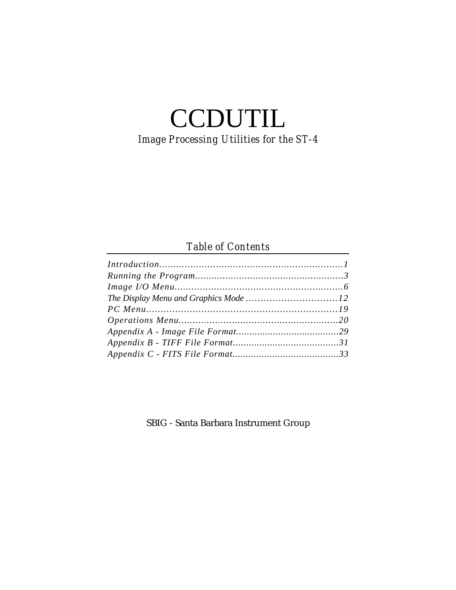# **CCDUTIL** *Image Processing Utilities for the ST-4*

# *Table of Contents*

SBIG - Santa Barbara Instrument Group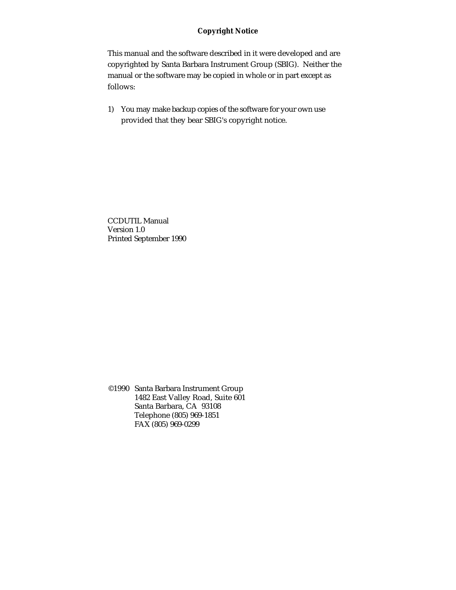## **Copyright Notice**

This manual and the software described in it were developed and are copyrighted by Santa Barbara Instrument Group (SBIG). Neither the manual or the software may be copied in whole or in part except as follows:

1) You may make backup copies of the software for your own use provided that they bear SBIG's copyright notice.

CCDUTIL Manual Version 1.0 Printed September 1990

©1990 Santa Barbara Instrument Group 1482 East Valley Road, Suite 601 Santa Barbara, CA 93108 Telephone (805) 969-1851 FAX (805) 969-0299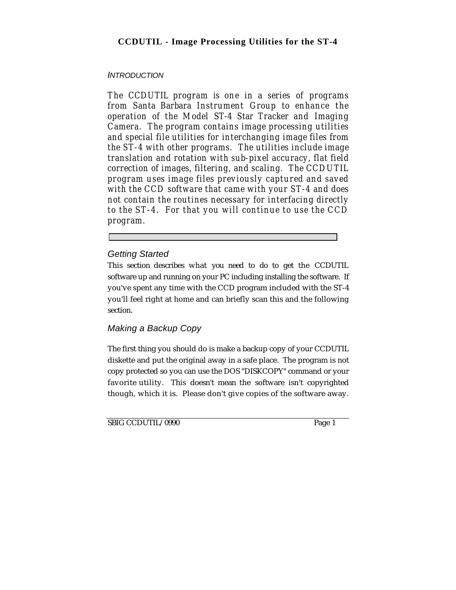# **CCDUTIL - Image Processing Utilities for the ST-4**

# **INTRODUCTION**

*The CCDUTIL program is one in a series of programs from Santa Barbara Instrument Group to enhance the operation of the Model ST-4 Star Tracker and Imaging Camera. The program contains image processing utilities and special file utilities for interchanging image files from the ST-4 with other programs. The utilities include image translation and rotation with sub-pixel accuracy, flat field correction of images, filtering, and scaling. The CCDUTIL program uses image files previously captured and saved with the CCD software that came with your ST-4 and does not contain the routines necessary for interfacing directly to the ST-4. For that you will continue to use the CCD program.*

# Getting Started

This section describes what you need to do to get the CCDUTIL software up and running on your PC including installing the software. If you've spent any time with the CCD program included with the ST-4 you'll feel right at home and can briefly scan this and the following section.

# Making a Backup Copy

The first thing you should do is make a backup copy of your CCDUTIL diskette and put the original away in a safe place. The program is not copy protected so you can use the DOS "DISKCOPY" command or your favorite utility. This doesn't mean the software isn't copyrighted though, which it is. Please don't give copies of the software away.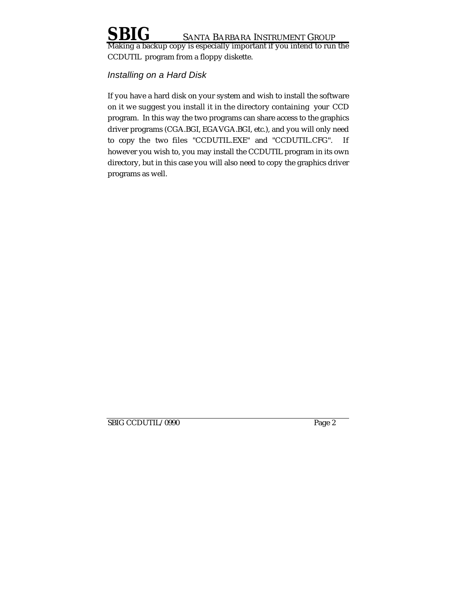Making a backup copy is especially important if you intend to run the CCDUTIL program from a floppy diskette.

# Installing on a Hard Disk

If you have a hard disk on your system and wish to install the software on it we suggest you install it in the directory containing your CCD program. In this way the two programs can share access to the graphics driver programs (CGA.BGI, EGAVGA.BGI, etc.), and you will only need to copy the two files "CCDUTIL.EXE" and "CCDUTIL.CFG". If however you wish to, you may install the CCDUTIL program in its own directory, but in this case you will also need to copy the graphics driver programs as well.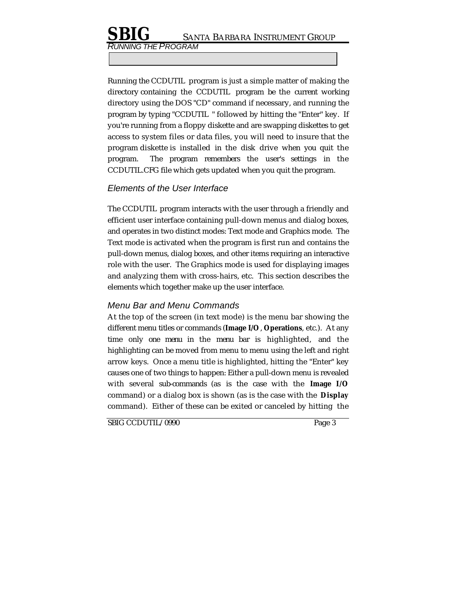RUNNING THE PROGRAM

Running the CCDUTIL program is just a simple matter of making the directory containing the CCDUTIL program be the current working directory using the DOS "CD" command if necessary, and running the program by typing "CCDUTIL " followed by hitting the "Enter" key. If you're running from a floppy diskette and are swapping diskettes to get access to system files or data files, you will need to insure that the program diskette is installed in the disk drive when you quit the program. The program remembers the user's settings in the CCDUTIL.CFG file which gets updated when you quit the program.

## Elements of the User Interface

The CCDUTIL program interacts with the user through a friendly and efficient user interface containing pull-down menus and dialog boxes, and operates in two distinct modes: Text mode and Graphics mode. The Text mode is activated when the program is first run and contains the pull-down menus, dialog boxes, and other items requiring an interactive role with the user. The Graphics mode is used for displaying images and analyzing them with cross-hairs, etc. This section describes the elements which together make up the user interface.

# Menu Bar and Menu Commands

At the top of the screen (in text mode) is the menu bar showing the different menu titles or commands (**Image I/O**, **Operations**, etc.). At any time only one menu in the menu bar is highlighted, and the highlighting can be moved from menu to menu using the left and right arrow keys. Once a menu title is highlighted, hitting the "Enter" key causes one of two things to happen: Either a pull-down menu is revealed with several sub-commands (as is the case with the **Image I/O** command) or a dialog box is shown (as is the case with the **Display** command). Either of these can be exited or canceled by hitting the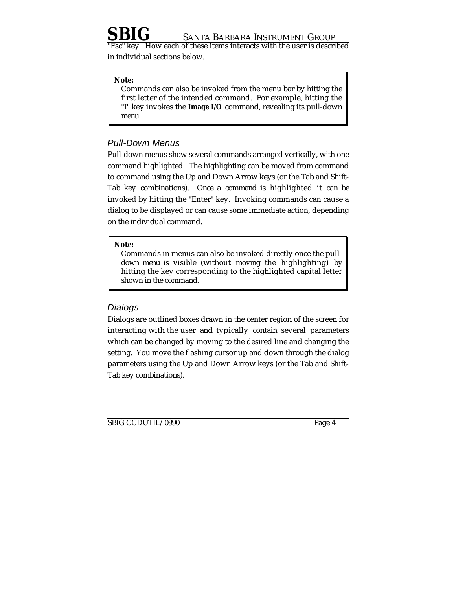key. How each of these items interacts with the user is described in individual sections below.

### **Note:**

Commands can also be invoked from the menu bar by hitting the first letter of the intended command. For example, hitting the "I" key invokes the **Image I/O** command, revealing its pull-down menu.

# Pull-Down Menus

Pull-down menus show several commands arranged vertically, with one command highlighted. The highlighting can be moved from command to command using the Up and Down Arrow keys (or the Tab and Shift-Tab key combinations). Once a command is highlighted it can be invoked by hitting the "Enter" key. Invoking commands can cause a dialog to be displayed or can cause some immediate action, depending on the individual command.

### **Note:**

Commands in menus can also be invoked directly once the pulldown menu is visible (without moving the highlighting) by hitting the key corresponding to the highlighted capital letter shown in the command.

## **Dialogs**

Dialogs are outlined boxes drawn in the center region of the screen for interacting with the user and typically contain several parameters which can be changed by moving to the desired line and changing the setting. You move the flashing cursor up and down through the dialog parameters using the Up and Down Arrow keys (or the Tab and Shift-Tab key combinations).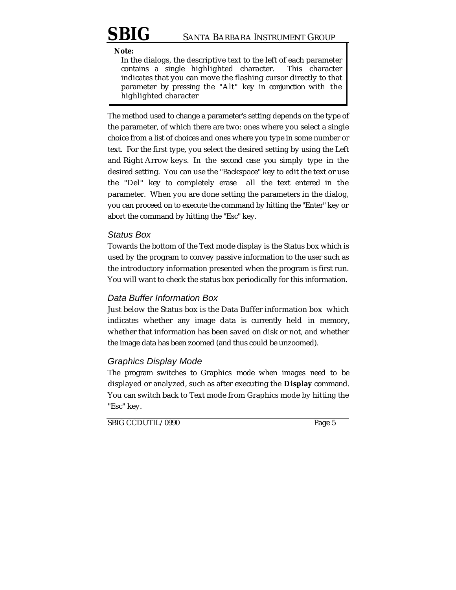**Note:**

In the dialogs, the descriptive text to the left of each parameter contains a single highlighted character. This character indicates that you can move the flashing cursor directly to that parameter by pressing the "Alt" key in conjunction with the highlighted character

The method used to change a parameter's setting depends on the type of the parameter, of which there are two: ones where you select a single choice from a list of choices and ones where you type in some number or text. For the first type, you select the desired setting by using the Left and Right Arrow keys. In the second case you simply type in the desired setting. You can use the "Backspace" key to edit the text or use the "Del" key to completely erase all the text entered in the parameter. When you are done setting the parameters in the dialog, you can proceed on to execute the command by hitting the "Enter" key or abort the command by hitting the "Esc" key.

# Status Box

Towards the bottom of the Text mode display is the Status box which is used by the program to convey passive information to the user such as the introductory information presented when the program is first run. You will want to check the status box periodically for this information.

# Data Buffer Information Box

Just below the Status box is the Data Buffer information box which indicates whether any image data is currently held in memory, whether that information has been saved on disk or not, and whether the image data has been zoomed (and thus could be unzoomed).

# Graphics Display Mode

The program switches to Graphics mode when images need to be displayed or analyzed, such as after executing the **Display** command. You can switch back to Text mode from Graphics mode by hitting the "Esc" key.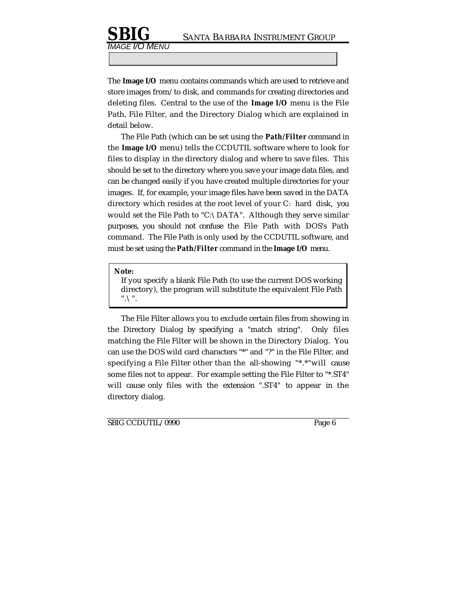The **Image I/O** menu contains commands which are used to retrieve and store images from/to disk, and commands for creating directories and deleting files. Central to the use of the **Image I/O** menu is the File Path, File Filter, and the Directory Dialog which are explained in detail below.

The File Path (which can be set using the **Path/Filter** command in the **Image I/O** menu) tells the CCDUTIL software where to look for files to display in the directory dialog and where to save files. This should be set to the directory where you save your image data files, and can be changed easily if you have created multiple directories for your images. If, for example, your image files have been saved in the DATA directory which resides at the root level of your C: hard disk, you would set the File Path to "C:\DATA". Although they serve similar purposes, you should not confuse the File Path with DOS's Path command. The File Path is only used by the CCDUTIL software, and must be set using the **Path/Filter** command in the **Image I/O** menu.

### **Note:**

IMAGE I/O MENU

If you specify a blank File Path (to use the current DOS working directory), the program will substitute the equivalent File Path ".\".

The File Filter allows you to exclude certain files from showing in the Directory Dialog by specifying a "match string". Only files matching the File Filter will be shown in the Directory Dialog. You can use the DOS wild card characters "\*" and "?" in the File Filter, and specifying a File Filter other than the all-showing "\*.\*"will cause some files not to appear. For example setting the File Filter to "\*.ST4" will cause only files with the extension ".ST4" to appear in the directory dialog.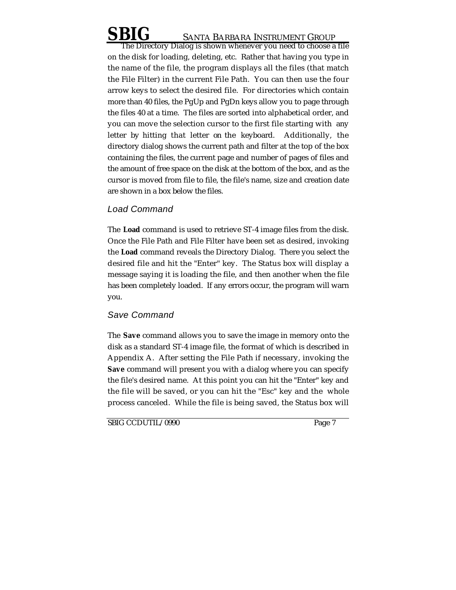The Directory Dialog is shown whenever you need to choose a file on the disk for loading, deleting, etc. Rather that having you type in the name of the file, the program displays all the files (that match the File Filter) in the current File Path. You can then use the four arrow keys to select the desired file. For directories which contain more than 40 files, the PgUp and PgDn keys allow you to page through the files 40 at a time. The files are sorted into alphabetical order, and you can move the selection cursor to the first file starting with any letter by hitting that letter on the keyboard. Additionally, the directory dialog shows the current path and filter at the top of the box containing the files, the current page and number of pages of files and the amount of free space on the disk at the bottom of the box, and as the cursor is moved from file to file, the file's name, size and creation date are shown in a box below the files.

# Load Command

The **Load** command is used to retrieve ST-4 image files from the disk. Once the File Path and File Filter have been set as desired, invoking the **Load** command reveals the Directory Dialog. There you select the desired file and hit the "Enter" key. The Status box will display a message saying it is loading the file, and then another when the file has been completely loaded. If any errors occur, the program will warn you.

# Save Command

The **Save** command allows you to save the image in memory onto the disk as a standard ST-4 image file, the format of which is described in Appendix A. After setting the File Path if necessary, invoking the **Save** command will present you with a dialog where you can specify the file's desired name. At this point you can hit the "Enter" key and the file will be saved, or you can hit the "Esc" key and the whole process canceled. While the file is being saved, the Status box will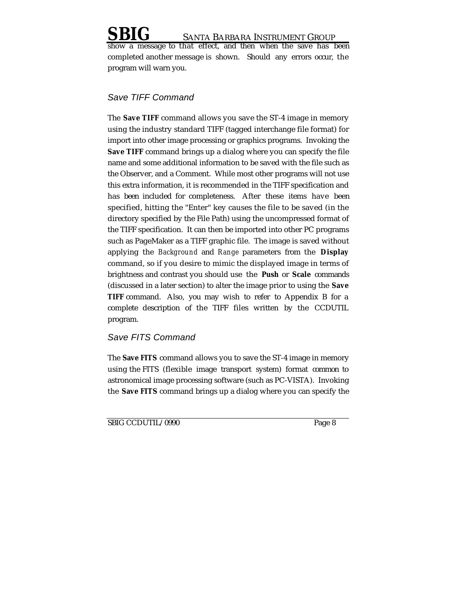a message to that effect, and then when the save has been completed another message is shown. Should any errors occur, the program will warn you.

# Save TIFF Command

The **Save TIFF** command allows you save the ST-4 image in memory using the industry standard TIFF (tagged interchange file format) for import into other image processing or graphics programs. Invoking the **Save TIFF** command brings up a dialog where you can specify the file name and some additional information to be saved with the file such as the Observer, and a Comment. While most other programs will not use this extra information, it is recommended in the TIFF specification and has been included for completeness. After these items have been specified, hitting the "Enter" key causes the file to be saved (in the directory specified by the File Path) using the uncompressed format of the TIFF specification. It can then be imported into other PC programs such as PageMaker as a TIFF graphic file. The image is saved without applying the *Background* and *Range* parameters from the **Display** command, so if you desire to mimic the displayed image in terms of brightness and contrast you should use the **Push** or **Scale** commands (discussed in a later section) to alter the image prior to using the **Save TIFF** command. Also, you may wish to refer to Appendix B for a complete description of the TIFF files written by the CCDUTIL program.

# Save FITS Command

The **Save FITS** command allows you to save the ST-4 image in memory using the FITS (flexible image transport system) format common to astronomical image processing software (such as PC-VISTA). Invoking the **Save FITS** command brings up a dialog where you can specify the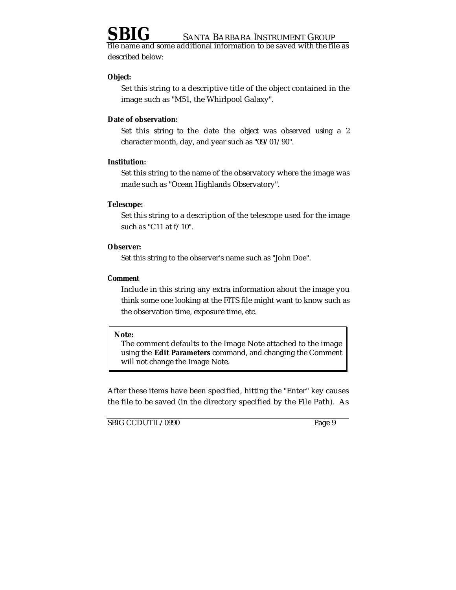iame and some additional information to be saved with the file as described below:

### **Object:**

Set this string to a descriptive title of the object contained in the image such as "M51, the Whirlpool Galaxy".

### **Date of observation:**

Set this string to the date the object was observed using a 2 character month, day, and year such as "09/01/90".

### **Institution:**

Set this string to the name of the observatory where the image was made such as "Ocean Highlands Observatory".

## **Telescope:**

Set this string to a description of the telescope used for the image such as "C11 at f/10".

## **Observer:**

Set this string to the observer's name such as "John Doe".

## **Comment**

Include in this string any extra information about the image you think some one looking at the FITS file might want to know such as the observation time, exposure time, etc.

### **Note:**

The comment defaults to the Image Note attached to the image using the **Edit Parameters** command, and changing the Comment will not change the Image Note.

After these items have been specified, hitting the "Enter" key causes the file to be saved (in the directory specified by the File Path). As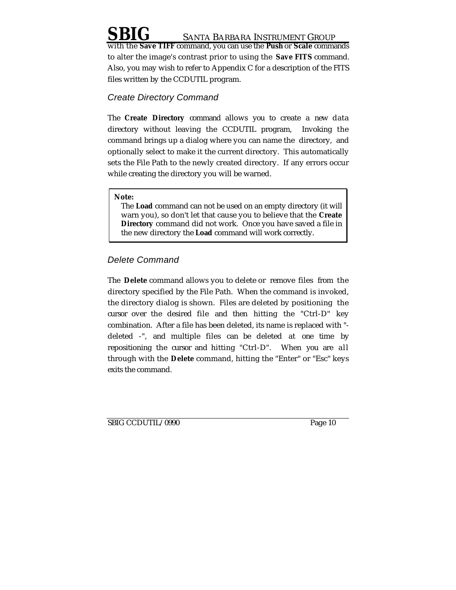with the **Save TIFF** command, you can use the **Push** or **Scale** commands to alter the image's contrast prior to using the **Save FITS** command. Also, you may wish to refer to Appendix C for a description of the FITS files written by the CCDUTIL program.

# Create Directory Command

The **Create Directory** command allows you to create a new data directory without leaving the CCDUTIL program, Invoking the command brings up a dialog where you can name the directory, and optionally select to make it the current directory. This automatically sets the File Path to the newly created directory. If any errors occur while creating the directory you will be warned.

### **Note:**

The **Load** command can not be used on an empty directory (it will warn you), so don't let that cause you to believe that the **Create Directory** command did not work. Once you have saved a file in the new directory the **Load** command will work correctly.

# Delete Command

The **Delete** command allows you to delete or remove files from the directory specified by the File Path. When the command is invoked, the directory dialog is shown. Files are deleted by positioning the cursor over the desired file and then hitting the "Ctrl-D" key combination. After a file has been deleted, its name is replaced with " deleted -", and multiple files can be deleted at one time by repositioning the cursor and hitting "Ctrl-D". When you are all through with the **Delete** command, hitting the "Enter" or "Esc" keys exits the command.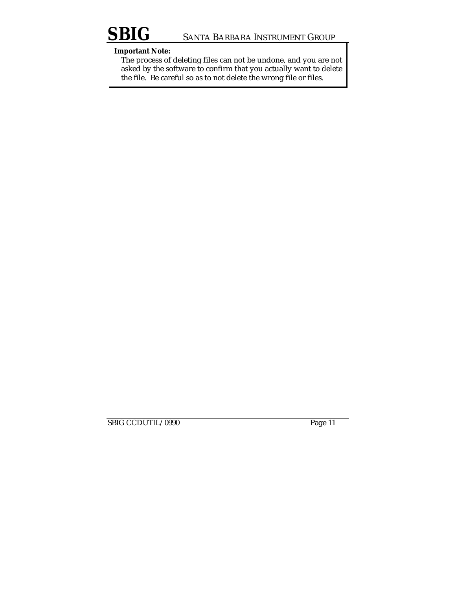# **Important Note:**

The process of deleting files can not be undone, and you are not asked by the software to confirm that you actually want to delete the file. Be careful so as to not delete the wrong file or files.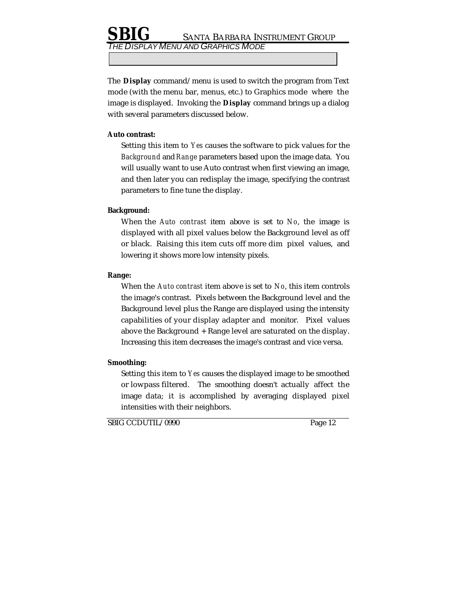DISPLAY MENU AND GRAPHICS MODE

The **Display** command/menu is used to switch the program from Text mode (with the menu bar, menus, etc.) to Graphics mode where the image is displayed. Invoking the **Display** command brings up a dialog with several parameters discussed below.

### **Auto contrast:**

Setting this item to *Yes* causes the software to pick values for the *Background* and *Range* parameters based upon the image data. You will usually want to use Auto contrast when first viewing an image, and then later you can redisplay the image, specifying the contrast parameters to fine tune the display.

## **Background:**

When the *Auto contrast* item above is set to *No*, the image is displayed with all pixel values below the Background level as off or black. Raising this item cuts off more dim pixel values, and lowering it shows more low intensity pixels.

## **Range:**

When the *Auto contrast* item above is set to *No*, this item controls the image's contrast. Pixels between the Background level and the Background level plus the Range are displayed using the intensity capabilities of your display adapter and monitor. Pixel values above the Background + Range level are saturated on the display. Increasing this item decreases the image's contrast and vice versa.

## **Smoothing:**

Setting this item to *Yes* causes the displayed image to be smoothed or lowpass filtered. The smoothing doesn't actually affect the image data; it is accomplished by averaging displayed pixel intensities with their neighbors.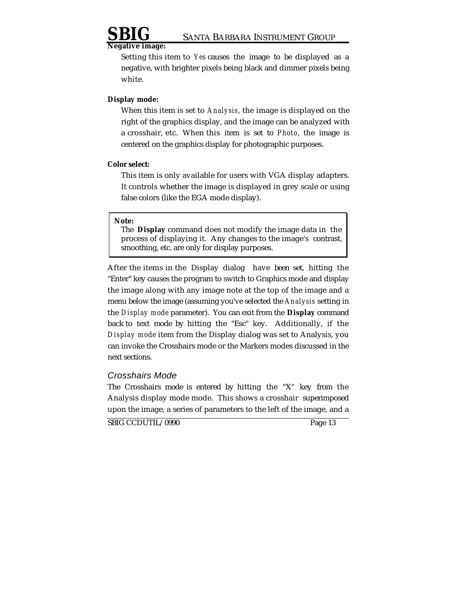

### **Negative image:**

Setting this item to *Yes* causes the image to be displayed as a negative, with brighter pixels being black and dimmer pixels being white.

### **Display mode:**

When this item is set to *Analysis*, the image is displayed on the right of the graphics display, and the image can be analyzed with a crosshair, etc. When this item is set to *Photo*, the image is centered on the graphics display for photographic purposes.

### **Color select:**

This item is only available for users with VGA display adapters. It controls whether the image is displayed in grey scale or using false colors (like the EGA mode display).

### **Note:**

The **Display** command does not modify the image data in the process of displaying it. Any changes to the image's contrast, smoothing, etc. are only for display purposes.

After the items in the Display dialog have been set, hitting the "Enter" key causes the program to switch to Graphics mode and display the image along with any image note at the top of the image and a menu below the image (assuming you've selected the *Analysis* setting in the *Display mode* parameter). You can exit from the **Display** command back to text mode by hitting the "Esc" key. Additionally, if the *Display mode* item from the Display dialog was set to Analysis, you can invoke the Crosshairs mode or the Markers modes discussed in the next sections.

### Crosshairs Mode

The Crosshairs mode is entered by hitting the "X" key from the Analysis display mode mode. This shows a crosshair superimposed upon the image, a series of parameters to the left of the image, and a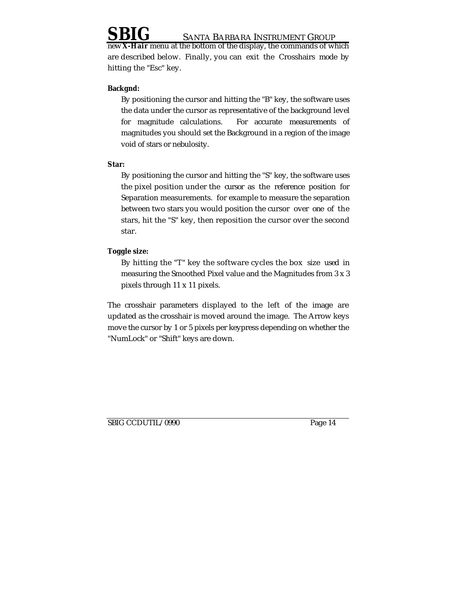**X-Hair** menu at the bottom of the display, the commands of which are described below. Finally, you can exit the Crosshairs mode by hitting the "Esc" key.

## **Backgnd:**

By positioning the cursor and hitting the "B" key, the software uses the data under the cursor as representative of the background level for magnitude calculations. For accurate measurements of magnitudes you should set the Background in a region of the image void of stars or nebulosity.

## **Star:**

By positioning the cursor and hitting the "S" key, the software uses the pixel position under the cursor as the reference position for Separation measurements. for example to measure the separation between two stars you would position the cursor over one of the stars, hit the "S" key, then reposition the cursor over the second star.

# **Toggle size:**

By hitting the "T" key the software cycles the box size used in measuring the Smoothed Pixel value and the Magnitudes from 3 x 3 pixels through 11 x 11 pixels.

The crosshair parameters displayed to the left of the image are updated as the crosshair is moved around the image. The Arrow keys move the cursor by 1 or 5 pixels per keypress depending on whether the "NumLock" or "Shift" keys are down.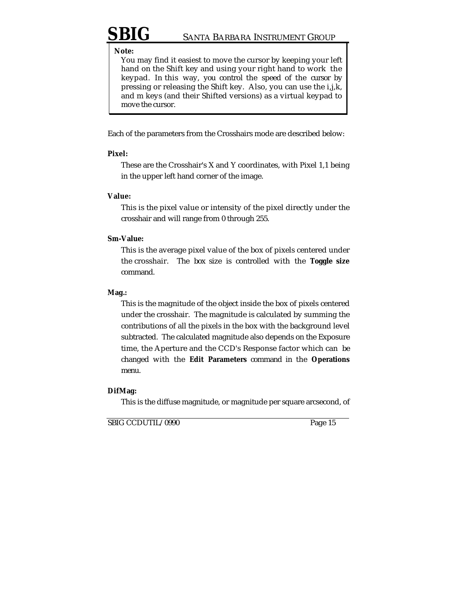### **Note:**

You may find it easiest to move the cursor by keeping your left hand on the Shift key and using your right hand to work the keypad. In this way, you control the speed of the cursor by pressing or releasing the Shift key. Also, you can use the i,j,k, and m keys (and their Shifted versions) as a virtual keypad to move the cursor.

Each of the parameters from the Crosshairs mode are described below:

### **Pixel:**

These are the Crosshair's X and Y coordinates, with Pixel 1,1 being in the upper left hand corner of the image.

### **Value:**

This is the pixel value or intensity of the pixel directly under the crosshair and will range from 0 through 255.

### **Sm-Value:**

This is the average pixel value of the box of pixels centered under the crosshair. The box size is controlled with the **Toggle size** command.

### **Mag.:**

This is the magnitude of the object inside the box of pixels centered under the crosshair. The magnitude is calculated by summing the contributions of all the pixels in the box with the background level subtracted. The calculated magnitude also depends on the Exposure time, the Aperture and the CCD's Response factor which can be changed with the **Edit Parameters** command in the **Operations** menu.

### **DifMag:**

This is the diffuse magnitude, or magnitude per square arcsecond, of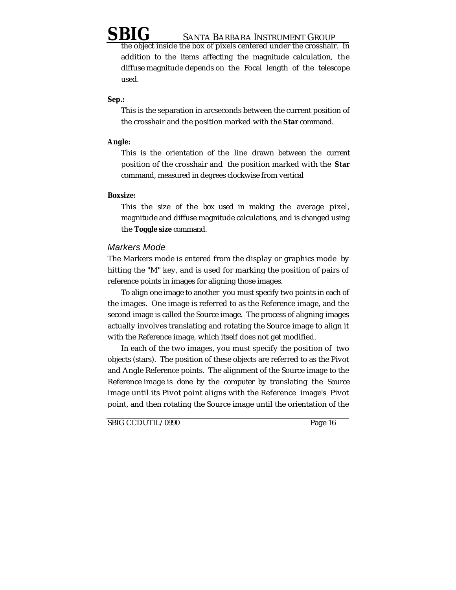the object inside the box of pixels centered under the crosshair. In addition to the items affecting the magnitude calculation, the diffuse magnitude depends on the Focal length of the telescope used.

## **Sep.:**

This is the separation in arcseconds between the current position of the crosshair and the position marked with the **Star** command.

## **Angle:**

This is the orientation of the line drawn between the current position of the crosshair and the position marked with the **Star** command, measured in degrees clockwise from vertical

## **Boxsize:**

This the size of the box used in making the average pixel, magnitude and diffuse magnitude calculations, and is changed using the **Toggle size** command.

# Markers Mode

The Markers mode is entered from the display or graphics mode by hitting the "M" key, and is used for marking the position of pairs of reference points in images for aligning those images.

To align one image to another you must specify two points in each of the images. One image is referred to as the Reference image, and the second image is called the Source image. The process of aligning images actually involves translating and rotating the Source image to align it with the Reference image, which itself does not get modified.

In each of the two images, you must specify the position of two objects (stars). The position of these objects are referred to as the Pivot and Angle Reference points. The alignment of the Source image to the Reference image is done by the computer by translating the Source image until its Pivot point aligns with the Reference image's Pivot point, and then rotating the Source image until the orientation of the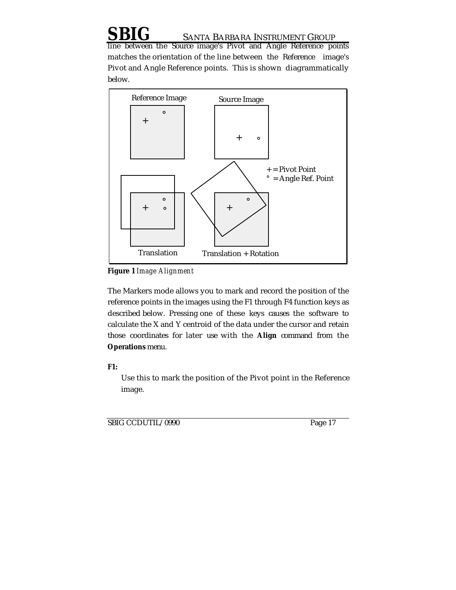line between the Source image's Pivot and Angle Reference points matches the orientation of the line between the Reference image's Pivot and Angle Reference points. This is shown diagrammatically below.



**Figure 1** *Image Alignment*

The Markers mode allows you to mark and record the position of the reference points in the images using the F1 through F4 function keys as described below. Pressing one of these keys causes the software to calculate the X and Y centroid of the data under the cursor and retain those coordinates for later use with the **Align** command from the **Operations** menu.

**F1:**

Use this to mark the position of the Pivot point in the Reference image.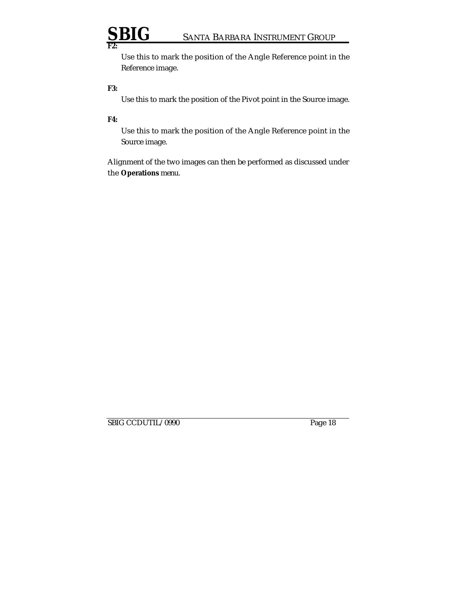Use this to mark the position of the Angle Reference point in the Reference image.

## **F3:**

Use this to mark the position of the Pivot point in the Source image.

## **F4:**

Use this to mark the position of the Angle Reference point in the Source image.

Alignment of the two images can then be performed as discussed under the **Operations** menu.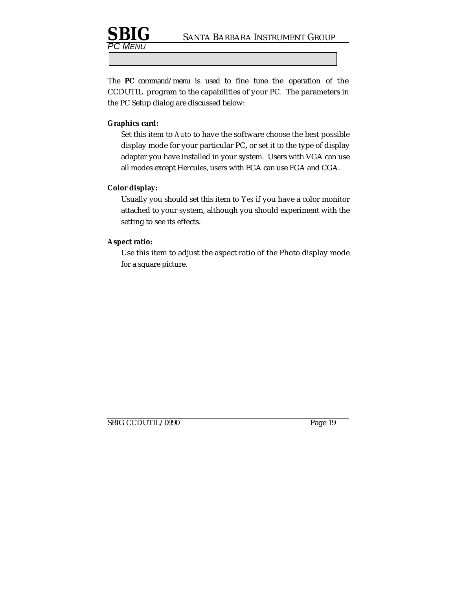

The **PC** command/menu is used to fine tune the operation of the CCDUTIL program to the capabilities of your PC. The parameters in the PC Setup dialog are discussed below:

## **Graphics card:**

MENU

Set this item to *Auto* to have the software choose the best possible display mode for your particular PC, or set it to the type of display adapter you have installed in your system. Users with VGA can use all modes except Hercules, users with EGA can use EGA and CGA.

### **Color display:**

Usually you should set this item to *Yes* if you have a color monitor attached to your system, although you should experiment with the setting to see its effects.

## **Aspect ratio:**

Use this item to adjust the aspect ratio of the Photo display mode for a square picture.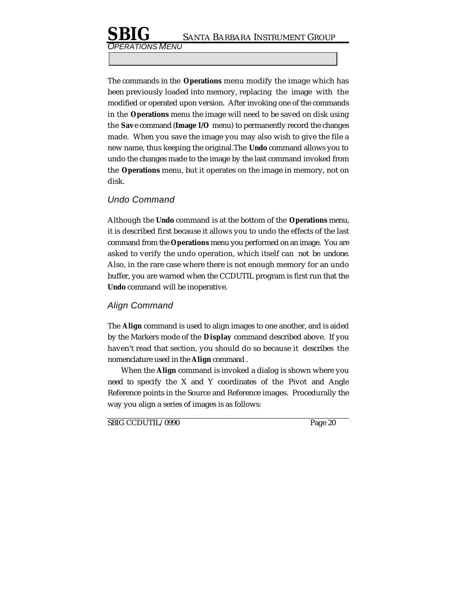ERATIONS MENU

The commands in the **Operations** menu modify the image which has been previously loaded into memory, replacing the image with the modified or operated upon version. After invoking one of the commands in the **Operations** menu the image will need to be saved on disk using the **Sav**e command (**Image I/O** menu) to permanently record the changes made. When you save the image you may also wish to give the file a new name, thus keeping the original.The **Undo** command allows you to undo the changes made to the image by the last command invoked from the **Operations** menu, but it operates on the image in memory, not on disk.

# Undo Command

Although the **Undo** command is at the bottom of the **Operations** menu, it is described first because it allows you to undo the effects of the last command from the **Operations** menu you performed on an image. You are asked to verify the undo operation, which itself can not be undone. Also, in the rare case where there is not enough memory for an undo buffer, you are warned when the CCDUTIL program is first run that the **Undo** command will be inoperative.

# Align Command

The **Align** command is used to align images to one another, and is aided by the Markers mode of the **Display** command described above. If you haven't read that section, you should do so because it describes the nomenclature used in the **Align** command .

When the **Align** command is invoked a dialog is shown where you need to specify the X and Y coordinates of the Pivot and Angle Reference points in the Source and Reference images. Procedurally the way you align a series of images is as follows: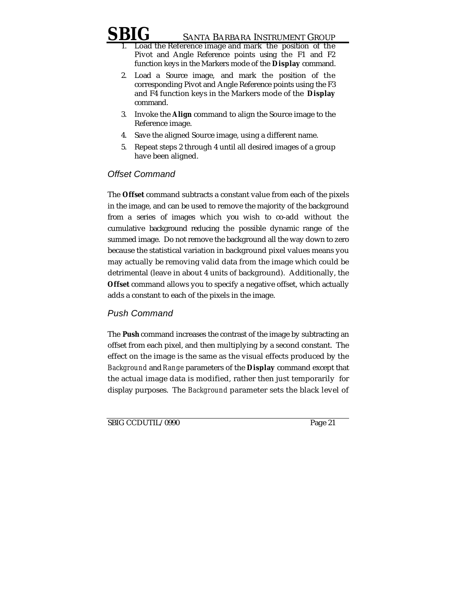- Load the Reference image and mark the position of the Pivot and Angle Reference points using the F1 and F2 function keys in the Markers mode of the **Display** command.
- 2. Load a Source image, and mark the position of the corresponding Pivot and Angle Reference points using the F3 and F4 function keys in the Markers mode of the **Display** command.
- 3. Invoke the **Align** command to align the Source image to the Reference image.
- 4. Save the aligned Source image, using a different name.
- 5. Repeat steps 2 through 4 until all desired images of a group have been aligned.

# Offset Command

The **Offset** command subtracts a constant value from each of the pixels in the image, and can be used to remove the majority of the background from a series of images which you wish to co-add without the cumulative background reducing the possible dynamic range of the summed image. Do not remove the background all the way down to zero because the statistical variation in background pixel values means you may actually be removing valid data from the image which could be detrimental (leave in about 4 units of background). Additionally, the **Offset** command allows you to specify a negative offset, which actually adds a constant to each of the pixels in the image.

# Push Command

The **Push** command increases the contrast of the image by subtracting an offset from each pixel, and then multiplying by a second constant. The effect on the image is the same as the visual effects produced by the *Background* and *Range* parameters of the **Display** command except that the actual image data is modified, rather then just temporarily for display purposes. The *Background* parameter sets the black level of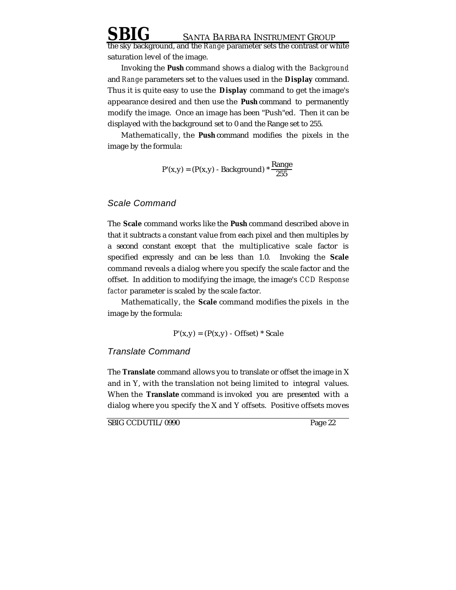**SANTA BARBARA INSTRUMENT GROUP** the sky background, and the *Range* parameter sets the contrast or white

saturation level of the image.

Invoking the **Push** command shows a dialog with the *Background* and *Range* parameters set to the values used in the **Display** command. Thus it is quite easy to use the **Display** command to get the image's appearance desired and then use the **Push** command to permanently modify the image. Once an image has been "Push"ed. Then it can be displayed with the background set to 0 and the Range set to 255.

Mathematically, the **Push** command modifies the pixels in the image by the formula:

$$
P'(x,y) = (P(x,y) - Background) * \frac{Range}{255}
$$

## Scale Command

The **Scale** command works like the **Push** command described above in that it subtracts a constant value from each pixel and then multiples by a second constant except that the multiplicative scale factor is specified expressly and can be less than 1.0. Invoking the **Scale** command reveals a dialog where you specify the scale factor and the offset. In addition to modifying the image, the image's *CCD Response factor* parameter is scaled by the scale factor.

Mathematically, the **Scale** command modifies the pixels in the image by the formula:

$$
P'(x,y) = (P(x,y) - Offset) * Scale
$$

### Translate Command

The **Translate** command allows you to translate or offset the image in X and in Y, with the translation not being limited to integral values. When the **Translate** command is invoked you are presented with a dialog where you specify the X and Y offsets. Positive offsets moves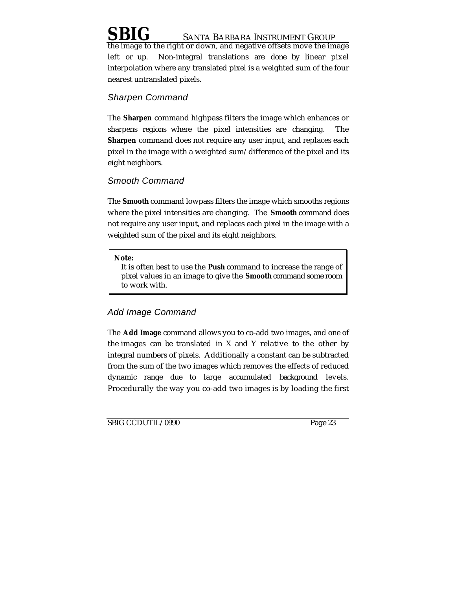the image to the right or down, and negative offsets move the image left or up. Non-integral translations are done by linear pixel interpolation where any translated pixel is a weighted sum of the four nearest untranslated pixels.

# Sharpen Command

The **Sharpen** command highpass filters the image which enhances or sharpens regions where the pixel intensities are changing. The **Sharpen** command does not require any user input, and replaces each pixel in the image with a weighted sum/difference of the pixel and its eight neighbors.

# Smooth Command

The **Smooth** command lowpass filters the image which smooths regions where the pixel intensities are changing. The **Smooth** command does not require any user input, and replaces each pixel in the image with a weighted sum of the pixel and its eight neighbors.

### **Note:**

It is often best to use the **Push** command to increase the range of pixel values in an image to give the **Smooth** command some room to work with.

# Add Image Command

The **Add Image** command allows you to co-add two images, and one of the images can be translated in X and Y relative to the other by integral numbers of pixels. Additionally a constant can be subtracted from the sum of the two images which removes the effects of reduced dynamic range due to large accumulated background levels. Procedurally the way you co-add two images is by loading the first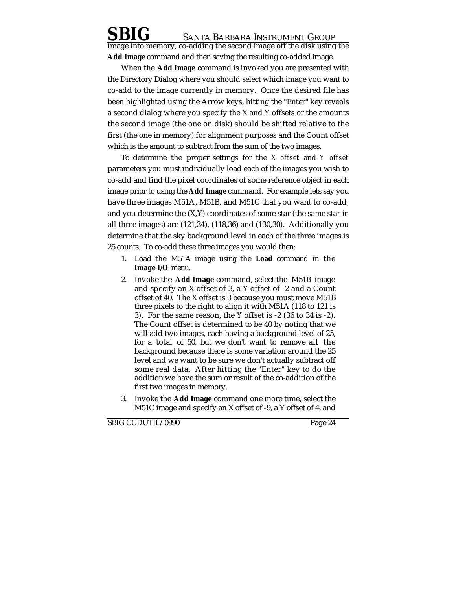image into memory, co-adding the second image off the disk using the **Add Image** command and then saving the resulting co-added image.

When the **Add Image** command is invoked you are presented with the Directory Dialog where you should select which image you want to co-add to the image currently in memory. Once the desired file has been highlighted using the Arrow keys, hitting the "Enter" key reveals a second dialog where you specify the X and Y offsets or the amounts the second image (the one on disk) should be shifted relative to the first (the one in memory) for alignment purposes and the Count offset which is the amount to subtract from the sum of the two images.

To determine the proper settings for the *X offset* and *Y offset* parameters you must individually load each of the images you wish to co-add and find the pixel coordinates of some reference object in each image prior to using the **Add Image** command. For example lets say you have three images M51A, M51B, and M51C that you want to co-add, and you determine the (X,Y) coordinates of some star (the same star in all three images) are (121,34), (118,36) and (130,30). Additionally you determine that the sky background level in each of the three images is 25 counts. To co-add these three images you would then:

- 1. Load the M51A image using the **Load** command in the **Image I/O** menu.
- 2. Invoke the **Add Image** command, select the M51B image and specify an X offset of 3, a Y offset of -2 and a Count offset of 40. The X offset is 3 because you must move M51B three pixels to the right to align it with M51A (118 to 121 is 3). For the same reason, the Y offset is -2 (36 to 34 is -2). The Count offset is determined to be 40 by noting that we will add two images, each having a background level of 25, for a total of 50, but we don't want to remove all the background because there is some variation around the 25 level and we want to be sure we don't actually subtract off some real data. After hitting the "Enter" key to do the addition we have the sum or result of the co-addition of the first two images in memory.
- 3. Invoke the **Add Image** command one more time, select the M51C image and specify an X offset of -9, a Y offset of 4, and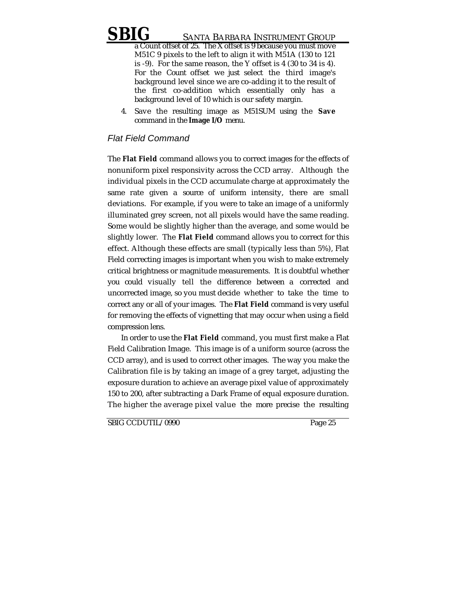a Count offset of 25. The X offset is 9 because you must move M51C 9 pixels to the left to align it with M51A (130 to 121 is -9). For the same reason, the Y offset is 4 (30 to 34 is 4). For the Count offset we just select the third image's background level since we are co-adding it to the result of the first co-addition which essentially only has a background level of 10 which is our safety margin.

4. Save the resulting image as M51SUM using the **Save** command in the **Image I/O** menu.

# Flat Field Command

The **Flat Field** command allows you to correct images for the effects of nonuniform pixel responsivity across the CCD array. Although the individual pixels in the CCD accumulate charge at approximately the same rate given a source of uniform intensity, there are small deviations. For example, if you were to take an image of a uniformly illuminated grey screen, not all pixels would have the same reading. Some would be slightly higher than the average, and some would be slightly lower. The **Flat Field** command allows you to correct for this effect. Although these effects are small (typically less than 5%), Flat Field correcting images is important when you wish to make extremely critical brightness or magnitude measurements. It is doubtful whether you could visually tell the difference between a corrected and uncorrected image, so you must decide whether to take the time to correct any or all of your images. The **Flat Field** command is very useful for removing the effects of vignetting that may occur when using a field compression lens.

In order to use the **Flat Field** command, you must first make a Flat Field Calibration Image. This image is of a uniform source (across the CCD array), and is used to correct other images. The way you make the Calibration file is by taking an image of a grey target, adjusting the exposure duration to achieve an average pixel value of approximately 150 to 200, after subtracting a Dark Frame of equal exposure duration. The higher the average pixel value the more precise the resulting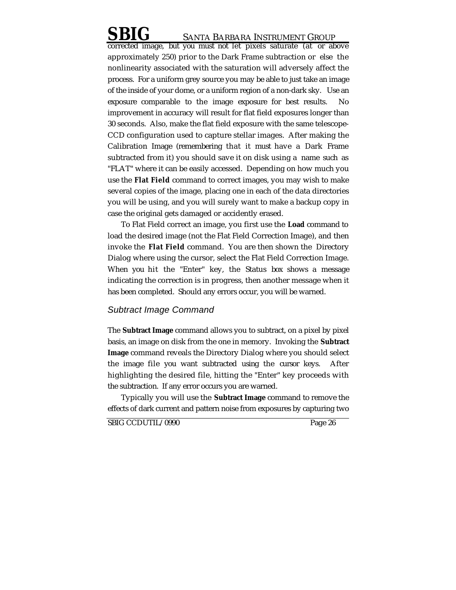corrected image, but you must not let pixels saturate (at or above approximately 250) prior to the Dark Frame subtraction or else the nonlinearity associated with the saturation will adversely affect the process. For a uniform grey source you may be able to just take an image of the inside of your dome, or a uniform region of a non-dark sky. Use an exposure comparable to the image exposure for best results. No improvement in accuracy will result for flat field exposures longer than 30 seconds. Also, make the flat field exposure with the same telescope-CCD configuration used to capture stellar images. After making the Calibration Image (remembering that it must have a Dark Frame subtracted from it) you should save it on disk using a name such as "FLAT" where it can be easily accessed. Depending on how much you use the **Flat Field** command to correct images, you may wish to make several copies of the image, placing one in each of the data directories you will be using, and you will surely want to make a backup copy in case the original gets damaged or accidently erased.

To Flat Field correct an image, you first use the **Load** command to load the desired image (not the Flat Field Correction Image), and then invoke the **Flat Field** command. You are then shown the Directory Dialog where using the cursor, select the Flat Field Correction Image. When you hit the "Enter" key, the Status box shows a message indicating the correction is in progress, then another message when it has been completed. Should any errors occur, you will be warned.

# Subtract Image Command

The **Subtract Image** command allows you to subtract, on a pixel by pixel basis, an image on disk from the one in memory. Invoking the **Subtract Image** command reveals the Directory Dialog where you should select the image file you want subtracted using the cursor keys. After highlighting the desired file, hitting the "Enter" key proceeds with the subtraction. If any error occurs you are warned.

Typically you will use the **Subtract Image** command to remove the effects of dark current and pattern noise from exposures by capturing two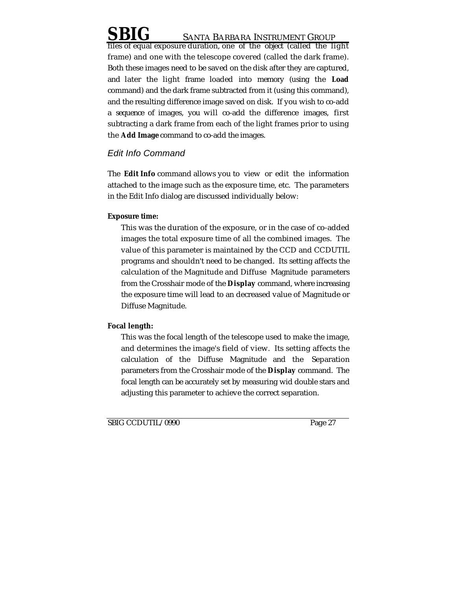files of equal exposure duration, one of the object (called the light frame) and one with the telescope covered (called the dark frame). Both these images need to be saved on the disk after they are captured, and later the light frame loaded into memory (using the **Load** command) and the dark frame subtracted from it (using this command), and the resulting difference image saved on disk. If you wish to co-add a sequence of images, you will co-add the difference images, first subtracting a dark frame from each of the light frames prior to using the **Add Image** command to co-add the images.

# Edit Info Command

The **Edit Info** command allows you to view or edit the information attached to the image such as the exposure time, etc. The parameters in the Edit Info dialog are discussed individually below:

# **Exposure time:**

This was the duration of the exposure, or in the case of co-added images the total exposure time of all the combined images. The value of this parameter is maintained by the CCD and CCDUTIL programs and shouldn't need to be changed. Its setting affects the calculation of the Magnitude and Diffuse Magnitude parameters from the Crosshair mode of the **Display** command, where increasing the exposure time will lead to an decreased value of Magnitude or Diffuse Magnitude.

# **Focal length:**

This was the focal length of the telescope used to make the image, and determines the image's field of view. Its setting affects the calculation of the Diffuse Magnitude and the Separation parameters from the Crosshair mode of the **Display** command. The focal length can be accurately set by measuring wid double stars and adjusting this parameter to achieve the correct separation.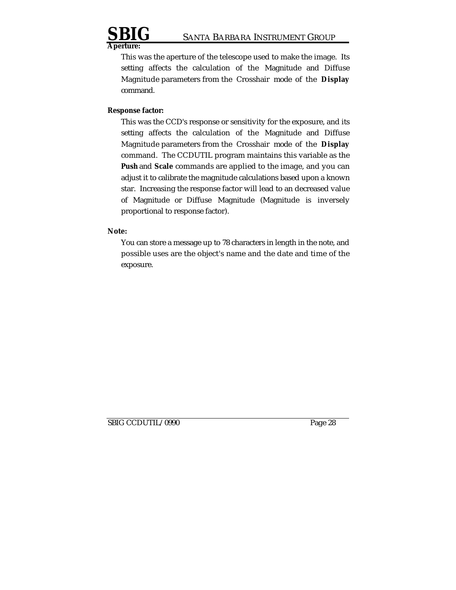

**Aperture:**

This was the aperture of the telescope used to make the image. Its setting affects the calculation of the Magnitude and Diffuse Magnitude parameters from the Crosshair mode of the **Display** command.

### **Response factor:**

This was the CCD's response or sensitivity for the exposure, and its setting affects the calculation of the Magnitude and Diffuse Magnitude parameters from the Crosshair mode of the **Display** command. The CCDUTIL program maintains this variable as the **Push** and **Scale** commands are applied to the image, and you can adjust it to calibrate the magnitude calculations based upon a known star. Increasing the response factor will lead to an decreased value of Magnitude or Diffuse Magnitude (Magnitude is inversely proportional to response factor).

**Note:**

You can store a message up to 78 characters in length in the note, and possible uses are the object's name and the date and time of the exposure.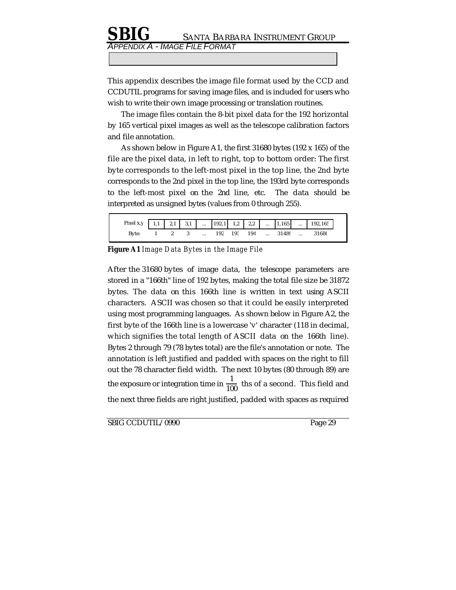# **SANTA BARBARA INSTRUMENT GROUP** ENDIX A - IMAGE FILE FORMAT

This appendix describes the image file format used by the CCD and CCDUTIL programs for saving image files, and is included for users who wish to write their own image processing or translation routines.

The image files contain the 8-bit pixel data for the 192 horizontal by 165 vertical pixel images as well as the telescope calibration factors and file annotation.

As shown below in Figure A1, the first 31680 bytes (192 x 165) of the file are the pixel data, in left to right, top to bottom order: The first byte corresponds to the left-most pixel in the top line, the 2nd byte corresponds to the 2nd pixel in the top line, the 193rd byte corresponds to the left-most pixel on the 2nd line, etc. The data should be interpreted as unsigned bytes (values from 0 through 255).

| Pixel x, y   1,1   2,1   3,1      192,1   1,2   2,2      1,165      192,165 |  |                            |                    |  |  |         |
|-----------------------------------------------------------------------------|--|----------------------------|--------------------|--|--|---------|
| Byte:                                                                       |  | $1 \quad 2 \quad 3 \quad $ | 192 193 194  31489 |  |  | - 31680 |

**Figure A1** *Image Data Bytes in the Image File*

After the 31680 bytes of image data, the telescope parameters are stored in a "166th" line of 192 bytes, making the total file size be 31872 bytes. The data on this 166th line is written in text using ASCII characters. ASCII was chosen so that it could be easily interpreted using most programming languages. As shown below in Figure A2, the first byte of the 166th line is a lowercase 'v' character (118 in decimal, which signifies the total length of ASCII data on the 166th line). Bytes 2 through 79 (78 bytes total) are the file's annotation or note. The annotation is left justified and padded with spaces on the right to fill out the 78 character field width. The next 10 bytes (80 through 89) are the exposure or integration time in  $\frac{1}{100}$  ths of a second. This field and the next three fields are right justified, padded with spaces as required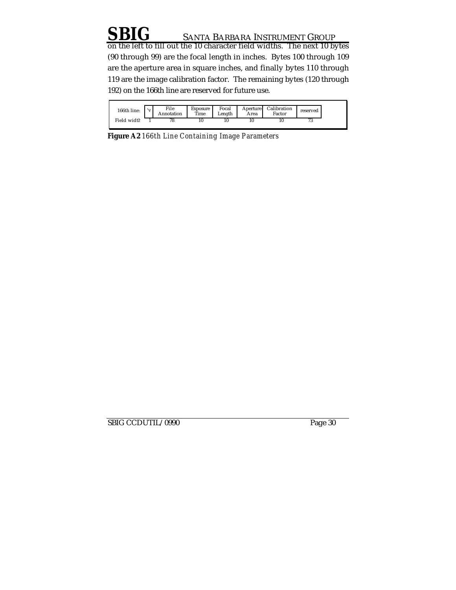on the left to fill out the 10 character field widths. The next 10 bytes (90 through 99) are the focal length in inches. Bytes 100 through 109 are the aperture area in square inches, and finally bytes 110 through 119 are the image calibration factor. The remaining bytes (120 through 192) on the 166th line are reserved for future use.

| 166th line: | 'v | File<br>Annotation | Exposure<br>Time | Focal<br>Length | Aperture I<br>Area | Calibration<br>Factor | reserved |
|-------------|----|--------------------|------------------|-----------------|--------------------|-----------------------|----------|
| Field width |    | 78                 | 10               |                 | 10                 | 10                    | 70<br>'J |

**Figure A2** *166th Line Containing Image Parameters*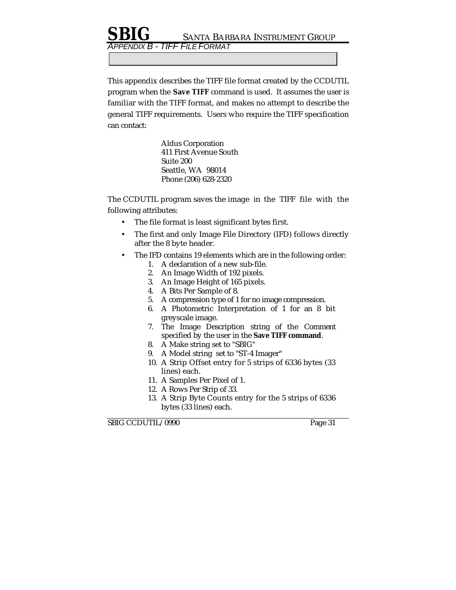APPENDIX B - TIFF FILE FORMAT

This appendix describes the TIFF file format created by the CCDUTIL program when the **Save TIFF** command is used. It assumes the user is familiar with the TIFF format, and makes no attempt to describe the general TIFF requirements. Users who require the TIFF specification can contact:

> Aldus Corporation 411 First Avenue South Suite 200 Seattle, WA 98014 Phone (206) 628-2320

The CCDUTIL program saves the image in the TIFF file with the following attributes:

- The file format is least significant bytes first.
- The first and only Image File Directory (IFD) follows directly after the 8 byte header.
- The IFD contains 19 elements which are in the following order:
	- 1. A declaration of a new sub-file.
	- 2. An Image Width of 192 pixels.
	- 3. An Image Height of 165 pixels.
	- 4. A Bits Per Sample of 8.
	- 5. A compression type of 1 for no image compression.
	- 6. A Photometric Interpretation of 1 for an 8 bit greyscale image.
	- 7. The Image Description string of the Comment specified by the user in the **Save TIFF command**.
	- 8. A Make string set to "SBIG"
	- 9. A Model string set to "ST-4 Imager"
	- 10. A Strip Offset entry for 5 strips of 6336 bytes (33 lines) each.
	- 11. A Samples Per Pixel of 1.
	- 12. A Rows Per Strip of 33.
	- 13. A Strip Byte Counts entry for the 5 strips of 6336 bytes (33 lines) each.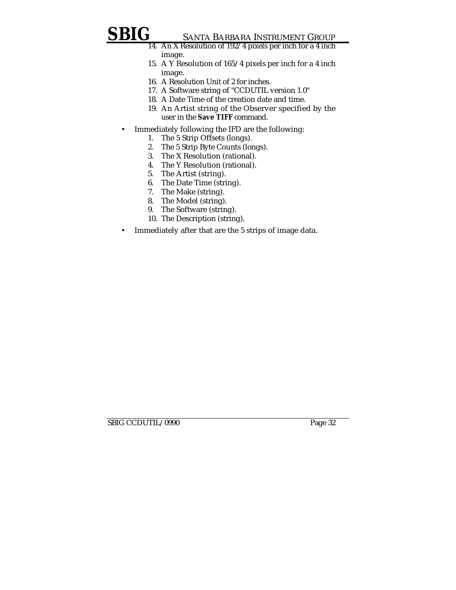- 14. An X Resolution of 192/4 pixels per inch for a 4 inch image.
- 15. A Y Resolution of 165/4 pixels per inch for a 4 inch image.
- 16. A Resolution Unit of 2 for inches.
- 17. A Software string of "CCDUTIL version 1.0"
- 18. A Date Time of the creation date and time.
- 19. An Artist string of the Observer specified by the user in the **Save TIFF** command.
- Immediately following the IFD are the following:
	- 1. The 5 Strip Offsets (longs).
	- 2. The 5 Strip Byte Counts (longs).
	- 3. The X Resolution (rational).
	- 4. The Y Resolution (rational).
	- 5. The Artist (string).
	- 6. The Date Time (string).
	- 7. The Make (string).
	- 8. The Model (string).
	- 9. The Software (string).
	- 10. The Description (string).
- Immediately after that are the 5 strips of image data.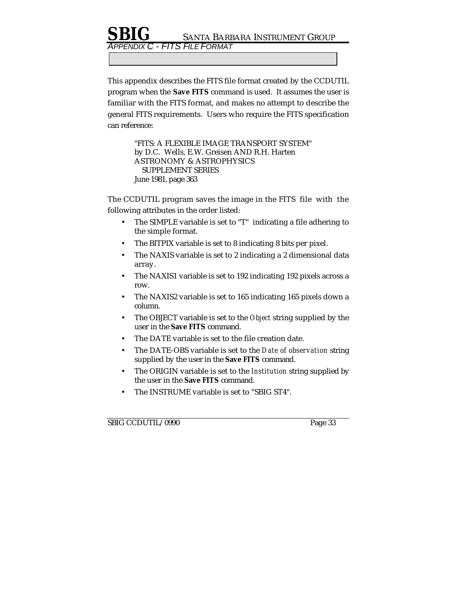ENDIX C - FITS FILE FORMAT

This appendix describes the FITS file format created by the CCDUTIL program when the **Save FITS** command is used. It assumes the user is familiar with the FITS format, and makes no attempt to describe the general FITS requirements. Users who require the FITS specification can reference:

> "FITS: A FLEXIBLE IMAGE TRANSPORT SYSTEM" by D.C. Wells, E.W. Greisen AND R.H. Harten ASTRONOMY & ASTROPHYSICS SUPPLEMENT SERIES June 1981, page 363

The CCDUTIL program saves the image in the FITS file with the following attributes in the order listed:

- The SIMPLE variable is set to "T" indicating a file adhering to the simple format.
- The BITPIX variable is set to 8 indicating 8 bits per pixel.
- The NAXIS variable is set to 2 indicating a 2 dimensional data array.
- The NAXIS1 variable is set to 192 indicating 192 pixels across a row.
- The NAXIS2 variable is set to 165 indicating 165 pixels down a column.
- The OBJECT variable is set to the *Object* string supplied by the user in the **Save FITS** command.
- The DATE variable is set to the file creation date.
- The DATE-OBS variable is set to the *Date of observation* string supplied by the user in the **Save FITS** command.
- The ORIGIN variable is set to the *Institution* string supplied by the user in the **Save FITS** command.
- The INSTRUME variable is set to "SBIG ST4".